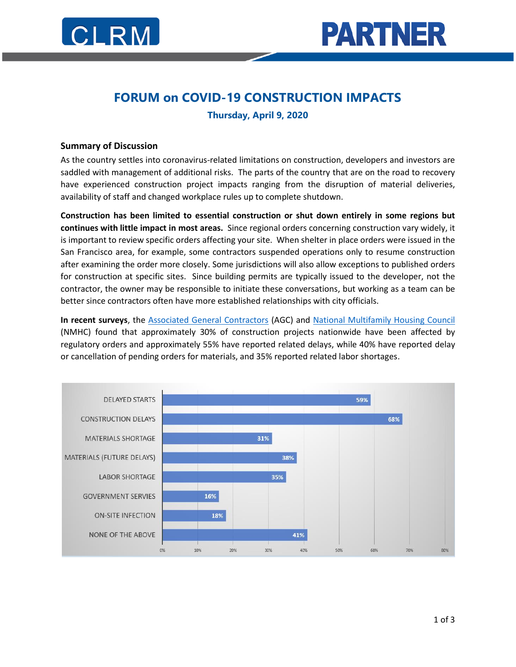

## **FORUM on COVID-19 CONSTRUCTION IMPACTS**

**Thursday, April 9, 2020**

## **Summary of Discussion**

As the country settles into coronavirus-related limitations on construction, developers and investors are saddled with management of additional risks. The parts of the country that are on the road to recovery have experienced construction project impacts ranging from the disruption of material deliveries, availability of staff and changed workplace rules up to complete shutdown.

**Construction has been limited to essential construction or shut down entirely in some regions but continues with little impact in most areas.** Since regional orders concerning construction vary widely, it is important to review specific orders affecting your site. When shelter in place orders were issued in the San Francisco area, for example, some contractors suspended operations only to resume construction after examining the order more closely. Some jurisdictions will also allow exceptions to published orders for construction at specific sites. Since building permits are typically issued to the developer, not the contractor, the owner may be responsible to initiate these conversations, but working as a team can be better since contractors often have more established relationships with city officials.

**In recent surveys**, the [Associated General Contractors](https://www.agc.org/news/2020/04/10/forty-percent-construction-firms-report-layoffs-amid-widespread-project) (AGC) and [National Multifamily Housing Council](https://www.nmhc.org/research-insight/2020-nmhc-construction-survey/2020-nmhc-construction-survey-round-1/) (NMHC) found that approximately 30% of construction projects nationwide have been affected by regulatory orders and approximately 55% have reported related delays, while 40% have reported delay or cancellation of pending orders for materials, and 35% reported related labor shortages.

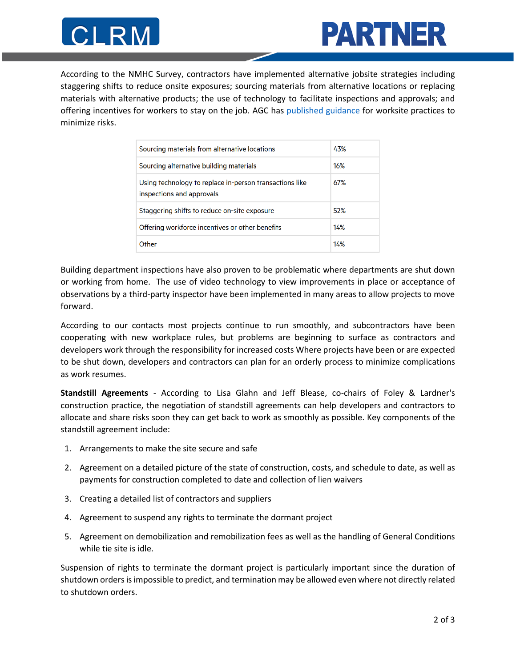



According to the NMHC Survey, contractors have implemented alternative jobsite strategies including staggering shifts to reduce onsite exposures; sourcing materials from alternative locations or replacing materials with alternative products; the use of technology to facilitate inspections and approvals; and offering incentives for workers to stay on the job. AGC has [published guidance](https://www.agc-oregon.org/wp-content/uploads/2020/04/COVID-19-Job-Site-Practices.pdf) for worksite practices to minimize risks.

| Sourcing materials from alternative locations                                        | 43% |
|--------------------------------------------------------------------------------------|-----|
| Sourcing alternative building materials                                              | 16% |
| Using technology to replace in-person transactions like<br>inspections and approvals | 67% |
| Staggering shifts to reduce on-site exposure                                         | 52% |
| Offering workforce incentives or other benefits                                      | 14% |
| Other                                                                                | 14% |

Building department inspections have also proven to be problematic where departments are shut down or working from home. The use of video technology to view improvements in place or acceptance of observations by a third-party inspector have been implemented in many areas to allow projects to move forward.

According to our contacts most projects continue to run smoothly, and subcontractors have been cooperating with new workplace rules, but problems are beginning to surface as contractors and developers work through the responsibility for increased costs Where projects have been or are expected to be shut down, developers and contractors can plan for an orderly process to minimize complications as work resumes.

**Standstill Agreements** - According to Lisa Glahn and Jeff Blease, co-chairs of Foley & Lardner's construction practice, the negotiation of standstill agreements can help developers and contractors to allocate and share risks soon they can get back to work as smoothly as possible. Key components of the standstill agreement include:

- 1. Arrangements to make the site secure and safe
- 2. Agreement on a detailed picture of the state of construction, costs, and schedule to date, as well as payments for construction completed to date and collection of lien waivers
- 3. Creating a detailed list of contractors and suppliers
- 4. Agreement to suspend any rights to terminate the dormant project
- 5. Agreement on demobilization and remobilization fees as well as the handling of General Conditions while tie site is idle.

Suspension of rights to terminate the dormant project is particularly important since the duration of shutdown orders is impossible to predict, and termination may be allowed even where not directly related to shutdown orders.